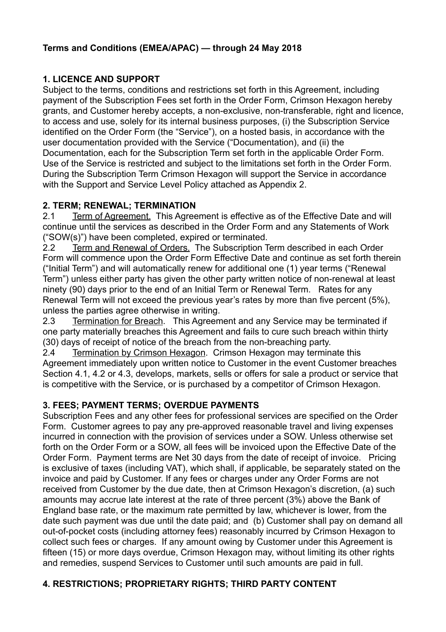# **1. LICENCE AND SUPPORT**

Subject to the terms, conditions and restrictions set forth in this Agreement, including payment of the Subscription Fees set forth in the Order Form, Crimson Hexagon hereby grants, and Customer hereby accepts, a non-exclusive, non-transferable, right and licence, to access and use, solely for its internal business purposes, (i) the Subscription Service identified on the Order Form (the "Service"), on a hosted basis, in accordance with the user documentation provided with the Service ("Documentation), and (ii) the Documentation, each for the Subscription Term set forth in the applicable Order Form. Use of the Service is restricted and subject to the limitations set forth in the Order Form. During the Subscription Term Crimson Hexagon will support the Service in accordance with the Support and Service Level Policy attached as Appendix 2.

# **2. TERM; RENEWAL; TERMINATION**

2.1 Term of Agreement. This Agreement is effective as of the Effective Date and will continue until the services as described in the Order Form and any Statements of Work ("SOW(s)") have been completed, expired or terminated.

2.2 Term and Renewal of Orders. The Subscription Term described in each Order Form will commence upon the Order Form Effective Date and continue as set forth therein ("Initial Term") and will automatically renew for additional one (1) year terms ("Renewal Term") unless either party has given the other party written notice of non-renewal at least ninety (90) days prior to the end of an Initial Term or Renewal Term. Rates for any Renewal Term will not exceed the previous year's rates by more than five percent (5%), unless the parties agree otherwise in writing.

2.3 Termination for Breach. This Agreement and any Service may be terminated if one party materially breaches this Agreement and fails to cure such breach within thirty (30) days of receipt of notice of the breach from the non-breaching party.

2.4 Termination by Crimson Hexagon. Crimson Hexagon may terminate this Agreement immediately upon written notice to Customer in the event Customer breaches Section 4.1, 4.2 or 4.3, develops, markets, sells or offers for sale a product or service that is competitive with the Service, or is purchased by a competitor of Crimson Hexagon.

# **3. FEES; PAYMENT TERMS; OVERDUE PAYMENTS**

Subscription Fees and any other fees for professional services are specified on the Order Form. Customer agrees to pay any pre-approved reasonable travel and living expenses incurred in connection with the provision of services under a SOW. Unless otherwise set forth on the Order Form or a SOW, all fees will be invoiced upon the Effective Date of the Order Form. Payment terms are Net 30 days from the date of receipt of invoice. Pricing is exclusive of taxes (including VAT), which shall, if applicable, be separately stated on the invoice and paid by Customer. If any fees or charges under any Order Forms are not received from Customer by the due date, then at Crimson Hexagon's discretion, (a) such amounts may accrue late interest at the rate of three percent (3%) above the Bank of England base rate, or the maximum rate permitted by law, whichever is lower, from the date such payment was due until the date paid; and (b) Customer shall pay on demand all out-of-pocket costs (including attorney fees) reasonably incurred by Crimson Hexagon to collect such fees or charges. If any amount owing by Customer under this Agreement is fifteen (15) or more days overdue, Crimson Hexagon may, without limiting its other rights and remedies, suspend Services to Customer until such amounts are paid in full.

# **4. RESTRICTIONS; PROPRIETARY RIGHTS; THIRD PARTY CONTENT**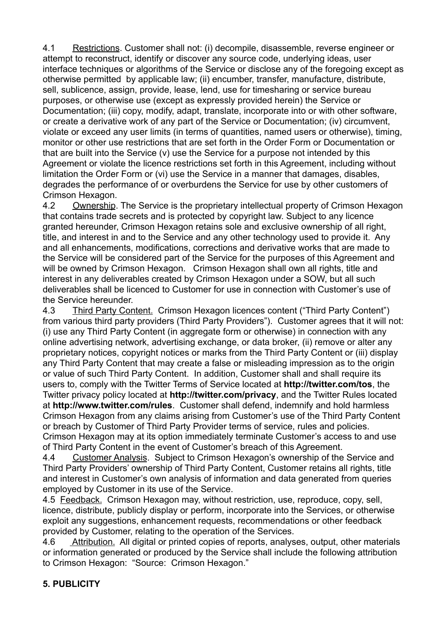4.1 Restrictions. Customer shall not: (i) decompile, disassemble, reverse engineer or attempt to reconstruct, identify or discover any source code, underlying ideas, user interface techniques or algorithms of the Service or disclose any of the foregoing except as otherwise permitted by applicable law; (ii) encumber, transfer, manufacture, distribute, sell, sublicence, assign, provide, lease, lend, use for timesharing or service bureau purposes, or otherwise use (except as expressly provided herein) the Service or Documentation; (iii) copy, modify, adapt, translate, incorporate into or with other software, or create a derivative work of any part of the Service or Documentation; (iv) circumvent, violate or exceed any user limits (in terms of quantities, named users or otherwise), timing, monitor or other use restrictions that are set forth in the Order Form or Documentation or that are built into the Service (v) use the Service for a purpose not intended by this Agreement or violate the licence restrictions set forth in this Agreement, including without limitation the Order Form or (vi) use the Service in a manner that damages, disables, degrades the performance of or overburdens the Service for use by other customers of Crimson Hexagon.

4.2 Ownership. The Service is the proprietary intellectual property of Crimson Hexagon that contains trade secrets and is protected by copyright law. Subject to any licence granted hereunder, Crimson Hexagon retains sole and exclusive ownership of all right, title, and interest in and to the Service and any other technology used to provide it. Any and all enhancements, modifications, corrections and derivative works that are made to the Service will be considered part of the Service for the purposes of this Agreement and will be owned by Crimson Hexagon. Crimson Hexagon shall own all rights, title and interest in any deliverables created by Crimson Hexagon under a SOW, but all such deliverables shall be licenced to Customer for use in connection with Customer's use of the Service hereunder.

4.3 Third Party Content. Crimson Hexagon licences content ("Third Party Content") from various third party providers (Third Party Providers"). Customer agrees that it will not: (i) use any Third Party Content (in aggregate form or otherwise) in connection with any online advertising network, advertising exchange, or data broker, (ii) remove or alter any proprietary notices, copyright notices or marks from the Third Party Content or (iii) display any Third Party Content that may create a false or misleading impression as to the origin or value of such Third Party Content. In addition, Customer shall and shall require its users to, comply with the Twitter Terms of Service located at **<http://twitter.com/tos>**, the Twitter privacy policy located at **<http://twitter.com/privacy>**, and the Twitter Rules located at **<http://www.twitter.com/rules>**. Customer shall defend, indemnify and hold harmless Crimson Hexagon from any claims arising from Customer's use of the Third Party Content or breach by Customer of Third Party Provider terms of service, rules and policies. Crimson Hexagon may at its option immediately terminate Customer's access to and use of Third Party Content in the event of Customer's breach of this Agreement.

4.4 Customer Analysis. Subject to Crimson Hexagon's ownership of the Service and Third Party Providers' ownership of Third Party Content, Customer retains all rights, title and interest in Customer's own analysis of information and data generated from queries employed by Customer in its use of the Service.

4.5 Feedback. Crimson Hexagon may, without restriction, use, reproduce, copy, sell, licence, distribute, publicly display or perform, incorporate into the Services, or otherwise exploit any suggestions, enhancement requests, recommendations or other feedback provided by Customer, relating to the operation of the Services.

4.6 Attribution. All digital or printed copies of reports, analyses, output, other materials or information generated or produced by the Service shall include the following attribution to Crimson Hexagon: "Source: Crimson Hexagon."

# **5. PUBLICITY**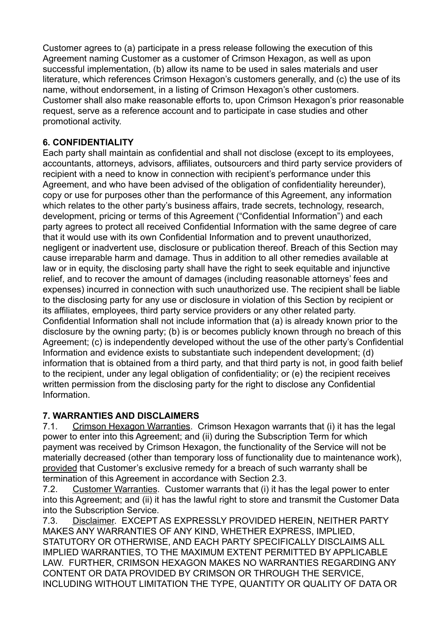Customer agrees to (a) participate in a press release following the execution of this Agreement naming Customer as a customer of Crimson Hexagon, as well as upon successful implementation, (b) allow its name to be used in sales materials and user literature, which references Crimson Hexagon's customers generally, and (c) the use of its name, without endorsement, in a listing of Crimson Hexagon's other customers. Customer shall also make reasonable efforts to, upon Crimson Hexagon's prior reasonable request, serve as a reference account and to participate in case studies and other promotional activity.

# **6. CONFIDENTIALITY**

Each party shall maintain as confidential and shall not disclose (except to its employees, accountants, attorneys, advisors, affiliates, outsourcers and third party service providers of recipient with a need to know in connection with recipient's performance under this Agreement, and who have been advised of the obligation of confidentiality hereunder), copy or use for purposes other than the performance of this Agreement, any information which relates to the other party's business affairs, trade secrets, technology, research, development, pricing or terms of this Agreement ("Confidential Information") and each party agrees to protect all received Confidential Information with the same degree of care that it would use with its own Confidential Information and to prevent unauthorized, negligent or inadvertent use, disclosure or publication thereof. Breach of this Section may cause irreparable harm and damage. Thus in addition to all other remedies available at law or in equity, the disclosing party shall have the right to seek equitable and injunctive relief, and to recover the amount of damages (including reasonable attorneys' fees and expenses) incurred in connection with such unauthorized use. The recipient shall be liable to the disclosing party for any use or disclosure in violation of this Section by recipient or its affiliates, employees, third party service providers or any other related party. Confidential Information shall not include information that (a) is already known prior to the disclosure by the owning party; (b) is or becomes publicly known through no breach of this Agreement; (c) is independently developed without the use of the other party's Confidential Information and evidence exists to substantiate such independent development; (d) information that is obtained from a third party, and that third party is not, in good faith belief to the recipient, under any legal obligation of confidentiality; or (e) the recipient receives written permission from the disclosing party for the right to disclose any Confidential Information.

# **7. WARRANTIES AND DISCLAIMERS**

7.1. Crimson Hexagon Warranties. Crimson Hexagon warrants that (i) it has the legal power to enter into this Agreement; and (ii) during the Subscription Term for which payment was received by Crimson Hexagon, the functionality of the Service will not be materially decreased (other than temporary loss of functionality due to maintenance work), provided that Customer's exclusive remedy for a breach of such warranty shall be termination of this Agreement in accordance with Section 2.3.

7.2. Customer Warranties. Customer warrants that (i) it has the legal power to enter into this Agreement; and (ii) it has the lawful right to store and transmit the Customer Data into the Subscription Service.

7.3. Disclaimer. EXCEPT AS EXPRESSLY PROVIDED HEREIN, NEITHER PARTY MAKES ANY WARRANTIES OF ANY KIND, WHETHER EXPRESS, IMPLIED, STATUTORY OR OTHERWISE, AND EACH PARTY SPECIFICALLY DISCLAIMS ALL IMPLIED WARRANTIES, TO THE MAXIMUM EXTENT PERMITTED BY APPLICABLE LAW. FURTHER, CRIMSON HEXAGON MAKES NO WARRANTIES REGARDING ANY CONTENT OR DATA PROVIDED BY CRIMSON OR THROUGH THE SERVICE, INCLUDING WITHOUT LIMITATION THE TYPE, QUANTITY OR QUALITY OF DATA OR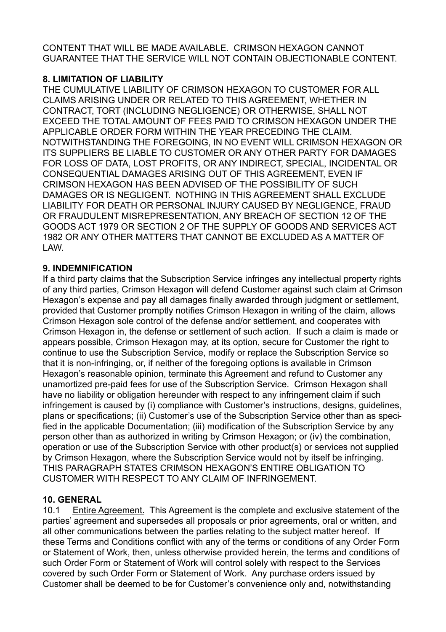CONTENT THAT WILL BE MADE AVAILABLE. CRIMSON HEXAGON CANNOT GUARANTEE THAT THE SERVICE WILL NOT CONTAIN OBJECTIONABLE CONTENT.

# **8. LIMITATION OF LIABILITY**

THE CUMULATIVE LIABILITY OF CRIMSON HEXAGON TO CUSTOMER FOR ALL CLAIMS ARISING UNDER OR RELATED TO THIS AGREEMENT, WHETHER IN CONTRACT, TORT (INCLUDING NEGLIGENCE) OR OTHERWISE, SHALL NOT EXCEED THE TOTAL AMOUNT OF FEES PAID TO CRIMSON HEXAGON UNDER THE APPLICABLE ORDER FORM WITHIN THE YEAR PRECEDING THE CLAIM. NOTWITHSTANDING THE FOREGOING, IN NO EVENT WILL CRIMSON HEXAGON OR ITS SUPPLIERS BE LIABLE TO CUSTOMER OR ANY OTHER PARTY FOR DAMAGES FOR LOSS OF DATA, LOST PROFITS, OR ANY INDIRECT, SPECIAL, INCIDENTAL OR CONSEQUENTIAL DAMAGES ARISING OUT OF THIS AGREEMENT, EVEN IF CRIMSON HEXAGON HAS BEEN ADVISED OF THE POSSIBILITY OF SUCH DAMAGES OR IS NEGLIGENT. NOTHING IN THIS AGREEMENT SHALL EXCLUDE LIABILITY FOR DEATH OR PERSONAL INJURY CAUSED BY NEGLIGENCE, FRAUD OR FRAUDULENT MISREPRESENTATION, ANY BREACH OF SECTION 12 OF THE GOODS ACT 1979 OR SECTION 2 OF THE SUPPLY OF GOODS AND SERVICES ACT 1982 OR ANY OTHER MATTERS THAT CANNOT BE EXCLUDED AS A MATTER OF LAW.

#### **9. INDEMNIFICATION**

If a third party claims that the Subscription Service infringes any intellectual property rights of any third parties, Crimson Hexagon will defend Customer against such claim at Crimson Hexagon's expense and pay all damages finally awarded through judgment or settlement, provided that Customer promptly notifies Crimson Hexagon in writing of the claim, allows Crimson Hexagon sole control of the defense and/or settlement, and cooperates with Crimson Hexagon in, the defense or settlement of such action. If such a claim is made or appears possible, Crimson Hexagon may, at its option, secure for Customer the right to continue to use the Subscription Service, modify or replace the Subscription Service so that it is non-infringing, or, if neither of the foregoing options is available in Crimson Hexagon's reasonable opinion, terminate this Agreement and refund to Customer any unamortized pre-paid fees for use of the Subscription Service. Crimson Hexagon shall have no liability or obligation hereunder with respect to any infringement claim if such infringement is caused by (i) compliance with Customer's instructions, designs, guidelines, plans or specifications; (ii) Customer's use of the Subscription Service other than as specified in the applicable Documentation; (iii) modification of the Subscription Service by any person other than as authorized in writing by Crimson Hexagon; or (iv) the combination, operation or use of the Subscription Service with other product(s) or services not supplied by Crimson Hexagon, where the Subscription Service would not by itself be infringing. THIS PARAGRAPH STATES CRIMSON HEXAGON'S ENTIRE OBLIGATION TO CUSTOMER WITH RESPECT TO ANY CLAIM OF INFRINGEMENT.

# **10. GENERAL**

10.1 Entire Agreement. This Agreement is the complete and exclusive statement of the parties' agreement and supersedes all proposals or prior agreements, oral or written, and all other communications between the parties relating to the subject matter hereof. If these Terms and Conditions conflict with any of the terms or conditions of any Order Form or Statement of Work, then, unless otherwise provided herein, the terms and conditions of such Order Form or Statement of Work will control solely with respect to the Services covered by such Order Form or Statement of Work. Any purchase orders issued by Customer shall be deemed to be for Customer's convenience only and, notwithstanding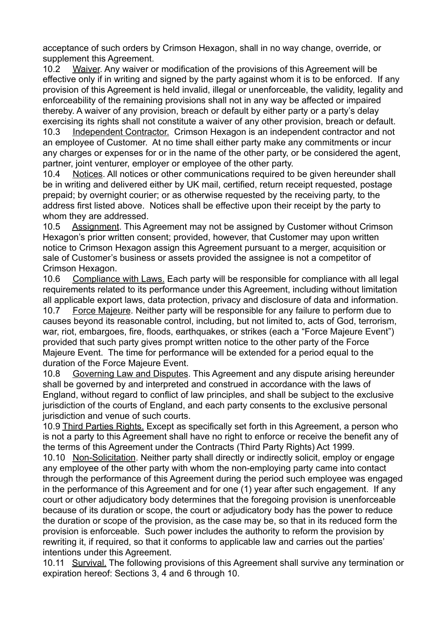acceptance of such orders by Crimson Hexagon, shall in no way change, override, or supplement this Agreement.

10.2 Waiver. Any waiver or modification of the provisions of this Agreement will be effective only if in writing and signed by the party against whom it is to be enforced. If any provision of this Agreement is held invalid, illegal or unenforceable, the validity, legality and enforceability of the remaining provisions shall not in any way be affected or impaired thereby. A waiver of any provision, breach or default by either party or a party's delay exercising its rights shall not constitute a waiver of any other provision, breach or default.

10.3 Independent Contractor. Crimson Hexagon is an independent contractor and not an employee of Customer. At no time shall either party make any commitments or incur any charges or expenses for or in the name of the other party, or be considered the agent, partner, joint venturer, employer or employee of the other party.

10.4 Notices. All notices or other communications required to be given hereunder shall be in writing and delivered either by UK mail, certified, return receipt requested, postage prepaid; by overnight courier; or as otherwise requested by the receiving party, to the address first listed above. Notices shall be effective upon their receipt by the party to whom they are addressed.

10.5 Assignment. This Agreement may not be assigned by Customer without Crimson Hexagon's prior written consent; provided, however, that Customer may upon written notice to Crimson Hexagon assign this Agreement pursuant to a merger, acquisition or sale of Customer's business or assets provided the assignee is not a competitor of Crimson Hexagon.

10.6 Compliance with Laws. Each party will be responsible for compliance with all legal requirements related to its performance under this Agreement, including without limitation all applicable export laws, data protection, privacy and disclosure of data and information.

10.7 Force Majeure. Neither party will be responsible for any failure to perform due to causes beyond its reasonable control, including, but not limited to, acts of God, terrorism, war, riot, embargoes, fire, floods, earthquakes, or strikes (each a "Force Majeure Event") provided that such party gives prompt written notice to the other party of the Force Majeure Event. The time for performance will be extended for a period equal to the duration of the Force Majeure Event.

10.8 Governing Law and Disputes. This Agreement and any dispute arising hereunder shall be governed by and interpreted and construed in accordance with the laws of England, without regard to conflict of law principles, and shall be subject to the exclusive jurisdiction of the courts of England, and each party consents to the exclusive personal jurisdiction and venue of such courts.

10.9 Third Parties Rights. Except as specifically set forth in this Agreement, a person who is not a party to this Agreement shall have no right to enforce or receive the benefit any of the terms of this Agreement under the Contracts (Third Party Rights) Act 1999.

10.10 Non-Solicitation. Neither party shall directly or indirectly solicit, employ or engage any employee of the other party with whom the non-employing party came into contact through the performance of this Agreement during the period such employee was engaged in the performance of this Agreement and for one (1) year after such engagement. If any court or other adjudicatory body determines that the foregoing provision is unenforceable because of its duration or scope, the court or adjudicatory body has the power to reduce the duration or scope of the provision, as the case may be, so that in its reduced form the provision is enforceable. Such power includes the authority to reform the provision by rewriting it, if required, so that it conforms to applicable law and carries out the parties' intentions under this Agreement.

10.11 Survival. The following provisions of this Agreement shall survive any termination or expiration hereof: Sections 3, 4 and 6 through 10.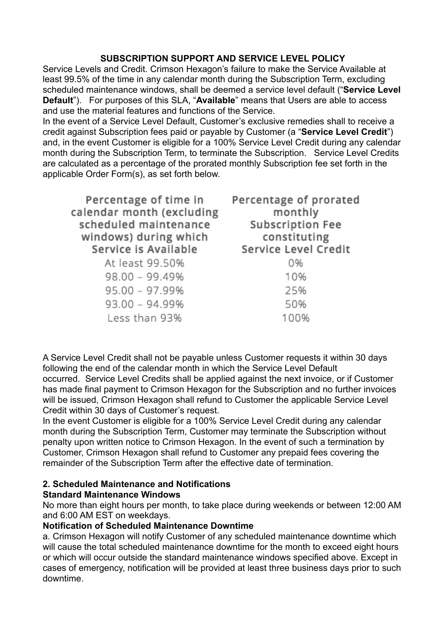#### **SUBSCRIPTION SUPPORT AND SERVICE LEVEL POLICY**

Service Levels and Credit. Crimson Hexagon's failure to make the Service Available at least 99.5% of the time in any calendar month during the Subscription Term, excluding scheduled maintenance windows, shall be deemed a service level default ("**Service Level Default**"). For purposes of this SLA, "**Available**" means that Users are able to access and use the material features and functions of the Service.

In the event of a Service Level Default, Customer's exclusive remedies shall to receive a credit against Subscription fees paid or payable by Customer (a "**Service Level Credit**") and, in the event Customer is eligible for a 100% Service Level Credit during any calendar month during the Subscription Term, to terminate the Subscription. Service Level Credits are calculated as a percentage of the prorated monthly Subscription fee set forth in the applicable Order Form(s), as set forth below.

| Percentage of time in     | Percentage of prorated |
|---------------------------|------------------------|
| calendar month (excluding | monthly                |
| scheduled maintenance     | Subscription Fee       |
| windows) during which     | constituting           |
| Service is Available      | Service Level Credit   |
| At least 99.50%           | 0%                     |
| $98.00 - 99.49%$          | 10%                    |
| $95.00 - 97.99%$          | 25%                    |
| $93.00 - 94.99%$          | 50%                    |
| Less than 93%             | 100%                   |

A Service Level Credit shall not be payable unless Customer requests it within 30 days following the end of the calendar month in which the Service Level Default occurred. Service Level Credits shall be applied against the next invoice, or if Customer has made final payment to Crimson Hexagon for the Subscription and no further invoices will be issued, Crimson Hexagon shall refund to Customer the applicable Service Level Credit within 30 days of Customer's request.

In the event Customer is eligible for a 100% Service Level Credit during any calendar month during the Subscription Term, Customer may terminate the Subscription without penalty upon written notice to Crimson Hexagon. In the event of such a termination by Customer, Crimson Hexagon shall refund to Customer any prepaid fees covering the remainder of the Subscription Term after the effective date of termination.

# **2. Scheduled Maintenance and Notifications**

# **Standard Maintenance Windows**

No more than eight hours per month, to take place during weekends or between 12:00 AM and 6:00 AM EST on weekdays.

#### **Notification of Scheduled Maintenance Downtime**

a. Crimson Hexagon will notify Customer of any scheduled maintenance downtime which will cause the total scheduled maintenance downtime for the month to exceed eight hours or which will occur outside the standard maintenance windows specified above. Except in cases of emergency, notification will be provided at least three business days prior to such downtime.